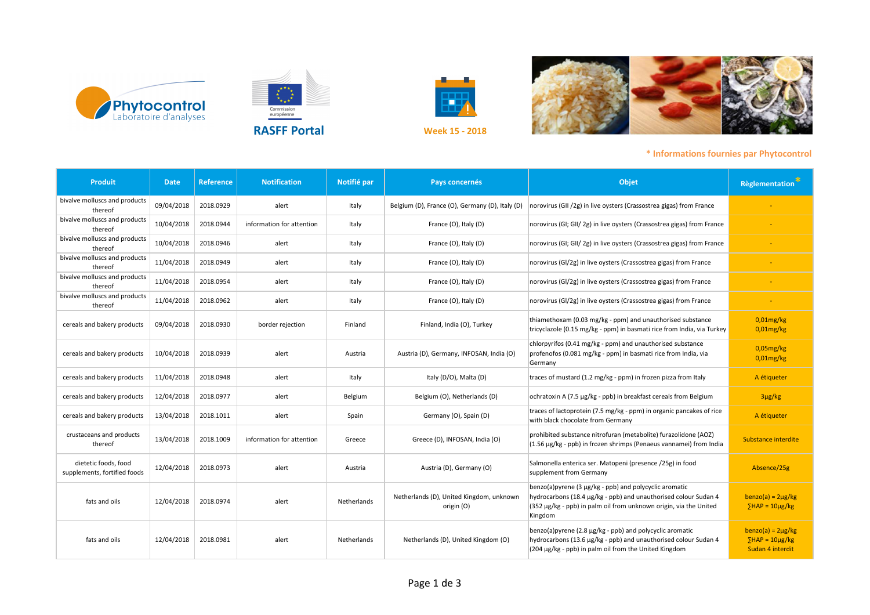









**RASFF Portal**

Commission<br>européenne

| <b>Produit</b>                                       | <b>Date</b> | <b>Reference</b> | <b>Notification</b>       | Notifié par | Pays concernés                                         | Objet                                                                                                                                                                                                     | Règlementation <sup>*</sup>                                       |
|------------------------------------------------------|-------------|------------------|---------------------------|-------------|--------------------------------------------------------|-----------------------------------------------------------------------------------------------------------------------------------------------------------------------------------------------------------|-------------------------------------------------------------------|
| bivalve molluscs and products<br>thereof             | 09/04/2018  | 2018.0929        | alert                     | Italy       | Belgium (D), France (O), Germany (D), Italy (D)        | norovirus (GII /2g) in live oysters (Crassostrea gigas) from France                                                                                                                                       |                                                                   |
| bivalve molluscs and products<br>thereof             | 10/04/2018  | 2018.0944        | information for attention | Italy       | France (O), Italy (D)                                  | norovirus (GI; GII/ 2g) in live oysters (Crassostrea gigas) from France                                                                                                                                   |                                                                   |
| bivalve molluscs and products<br>thereof             | 10/04/2018  | 2018.0946        | alert                     | Italy       | France (O), Italy (D)                                  | norovirus (GI; GII/ 2g) in live oysters (Crassostrea gigas) from France                                                                                                                                   |                                                                   |
| bivalve molluscs and products<br>thereof             | 11/04/2018  | 2018.0949        | alert                     | Italy       | France (O), Italy (D)                                  | norovirus (GI/2g) in live oysters (Crassostrea gigas) from France                                                                                                                                         |                                                                   |
| bivalve molluscs and products<br>thereof             | 11/04/2018  | 2018.0954        | alert                     | Italy       | France (O), Italy (D)                                  | norovirus (GI/2g) in live oysters (Crassostrea gigas) from France                                                                                                                                         |                                                                   |
| bivalve molluscs and products<br>thereof             | 11/04/2018  | 2018.0962        | alert                     | Italy       | France (O), Italy (D)                                  | norovirus (GI/2g) in live oysters (Crassostrea gigas) from France                                                                                                                                         |                                                                   |
| cereals and bakery products                          | 09/04/2018  | 2018.0930        | border rejection          | Finland     | Finland, India (O), Turkey                             | thiamethoxam (0.03 mg/kg - ppm) and unauthorised substance<br>tricyclazole (0.15 mg/kg - ppm) in basmati rice from India, via Turkey                                                                      | $0.01$ mg/kg<br>$0.01$ mg/kg                                      |
| cereals and bakery products                          | 10/04/2018  | 2018.0939        | alert                     | Austria     | Austria (D), Germany, INFOSAN, India (O)               | chlorpyrifos (0.41 mg/kg - ppm) and unauthorised substance<br>profenofos (0.081 mg/kg - ppm) in basmati rice from India, via<br>Germany                                                                   | $0.05$ mg/kg<br>$0,01$ mg/kg                                      |
| cereals and bakery products                          | 11/04/2018  | 2018.0948        | alert                     | Italy       | Italy (D/O), Malta (D)                                 | traces of mustard (1.2 mg/kg - ppm) in frozen pizza from Italy                                                                                                                                            | A étiqueter                                                       |
| cereals and bakery products                          | 12/04/2018  | 2018.0977        | alert                     | Belgium     | Belgium (O), Netherlands (D)                           | ochratoxin A (7.5 µg/kg - ppb) in breakfast cereals from Belgium                                                                                                                                          | $3\mu g/kg$                                                       |
| cereals and bakery products                          | 13/04/2018  | 2018.1011        | alert                     | Spain       | Germany (O), Spain (D)                                 | traces of lactoprotein (7.5 mg/kg - ppm) in organic pancakes of rice<br>with black chocolate from Germany                                                                                                 | A étiqueter                                                       |
| crustaceans and products<br>thereof                  | 13/04/2018  | 2018.1009        | information for attention | Greece      | Greece (D), INFOSAN, India (O)                         | prohibited substance nitrofuran (metabolite) furazolidone (AOZ)<br>(1.56 µg/kg - ppb) in frozen shrimps (Penaeus vannamei) from India                                                                     | Substance interdite                                               |
| dietetic foods, food<br>supplements, fortified foods | 12/04/2018  | 2018.0973        | alert                     | Austria     | Austria (D), Germany (O)                               | Salmonella enterica ser. Matopeni (presence /25g) in food<br>supplement from Germany                                                                                                                      | Absence/25g                                                       |
| fats and oils                                        | 12/04/2018  | 2018.0974        | alert                     | Netherlands | Netherlands (D), United Kingdom, unknown<br>origin (O) | benzo(a)pyrene (3 µg/kg - ppb) and polycyclic aromatic<br>hydrocarbons (18.4 µg/kg - ppb) and unauthorised colour Sudan 4<br>(352 µg/kg - ppb) in palm oil from unknown origin, via the United<br>Kingdom | $benzo(a) = 2\mu g/kg$<br>$$HAP = 10\mu g/kg$                     |
| fats and oils                                        | 12/04/2018  | 2018.0981        | alert                     | Netherlands | Netherlands (D), United Kingdom (O)                    | benzo(a)pyrene (2.8 µg/kg - ppb) and polycyclic aromatic<br>hydrocarbons (13.6 µg/kg - ppb) and unauthorised colour Sudan 4<br>(204 µg/kg - ppb) in palm oil from the United Kingdom                      | $benzo(a) = 2\mu g/kg$<br>$$HAP = 10\mu g/kg$<br>Sudan 4 interdit |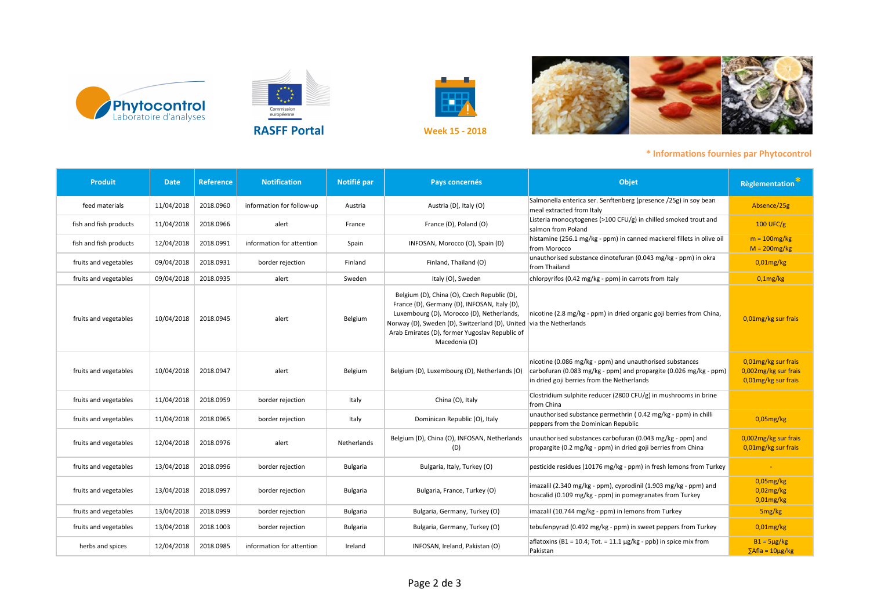







| <b>Produit</b>         | <b>Date</b> | <b>Reference</b> | <b>Notification</b>       | Notifié par | Pays concernés                                                                                                                                                                                                                                                                     | Objet                                                                                                                                                                       | <b>Règlementation</b>                                              |
|------------------------|-------------|------------------|---------------------------|-------------|------------------------------------------------------------------------------------------------------------------------------------------------------------------------------------------------------------------------------------------------------------------------------------|-----------------------------------------------------------------------------------------------------------------------------------------------------------------------------|--------------------------------------------------------------------|
| feed materials         | 11/04/2018  | 2018.0960        | information for follow-up | Austria     | Austria (D), Italy (O)                                                                                                                                                                                                                                                             | Salmonella enterica ser. Senftenberg (presence /25g) in soy bean<br>meal extracted from Italy                                                                               | Absence/25g                                                        |
| fish and fish products | 11/04/2018  | 2018.0966        | alert                     | France      | France (D), Poland (O)                                                                                                                                                                                                                                                             | Listeria monocytogenes (>100 CFU/g) in chilled smoked trout and<br>salmon from Poland                                                                                       | 100 UFC/g                                                          |
| fish and fish products | 12/04/2018  | 2018.0991        | information for attention | Spain       | INFOSAN, Morocco (O), Spain (D)                                                                                                                                                                                                                                                    | histamine (256.1 mg/kg - ppm) in canned mackerel fillets in olive oil<br>from Morocco                                                                                       | $m = 100$ mg/kg<br>$M = 200mg/kg$                                  |
| fruits and vegetables  | 09/04/2018  | 2018.0931        | border rejection          | Finland     | Finland, Thailand (O)                                                                                                                                                                                                                                                              | unauthorised substance dinotefuran (0.043 mg/kg - ppm) in okra<br>from Thailand                                                                                             | $0,01$ mg/kg                                                       |
| fruits and vegetables  | 09/04/2018  | 2018.0935        | alert                     | Sweden      | Italy (O), Sweden                                                                                                                                                                                                                                                                  | chlorpyrifos (0.42 mg/kg - ppm) in carrots from Italy                                                                                                                       | $0,1$ mg/kg                                                        |
| fruits and vegetables  | 10/04/2018  | 2018.0945        | alert                     | Belgium     | Belgium (D), China (O), Czech Republic (D),<br>France (D), Germany (D), INFOSAN, Italy (D),<br>Luxembourg (D), Morocco (D), Netherlands,<br>Norway (D), Sweden (D), Switzerland (D), United via the Netherlands<br>Arab Emirates (D), former Yugoslav Republic of<br>Macedonia (D) | nicotine (2.8 mg/kg - ppm) in dried organic goji berries from China,                                                                                                        | 0,01mg/kg sur frais                                                |
| fruits and vegetables  | 10/04/2018  | 2018.0947        | alert                     | Belgium     | Belgium (D), Luxembourg (D), Netherlands (O)                                                                                                                                                                                                                                       | nicotine (0.086 mg/kg - ppm) and unauthorised substances<br>carbofuran (0.083 mg/kg - ppm) and propargite (0.026 mg/kg - ppm)<br>in dried goji berries from the Netherlands | 0,01mg/kg sur frais<br>0,002mg/kg sur frais<br>0,01mg/kg sur frais |
| fruits and vegetables  | 11/04/2018  | 2018.0959        | border rejection          | Italy       | China (O), Italy                                                                                                                                                                                                                                                                   | Clostridium sulphite reducer (2800 CFU/g) in mushrooms in brine<br>from China                                                                                               |                                                                    |
| fruits and vegetables  | 11/04/2018  | 2018.0965        | border rejection          | Italy       | Dominican Republic (O), Italy                                                                                                                                                                                                                                                      | unauthorised substance permethrin (0.42 mg/kg - ppm) in chilli<br>peppers from the Dominican Republic                                                                       | $0.05$ mg/kg                                                       |
| fruits and vegetables  | 12/04/2018  | 2018.0976        | alert                     | Netherlands | Belgium (D), China (O), INFOSAN, Netherlands<br>(D)                                                                                                                                                                                                                                | unauthorised substances carbofuran (0.043 mg/kg - ppm) and<br>propargite (0.2 mg/kg - ppm) in dried goji berries from China                                                 | 0,002mg/kg sur frais<br>0,01mg/kg sur frais                        |
| fruits and vegetables  | 13/04/2018  | 2018.0996        | border rejection          | Bulgaria    | Bulgaria, Italy, Turkey (O)                                                                                                                                                                                                                                                        | pesticide residues (10176 mg/kg - ppm) in fresh lemons from Turkey                                                                                                          |                                                                    |
| fruits and vegetables  | 13/04/2018  | 2018.0997        | border rejection          | Bulgaria    | Bulgaria, France, Turkey (O)                                                                                                                                                                                                                                                       | imazalil (2.340 mg/kg - ppm), cyprodinil (1.903 mg/kg - ppm) and<br>boscalid (0.109 mg/kg - ppm) in pomegranates from Turkey                                                | $0.05$ mg/kg<br>$0.02$ mg/kg<br>$0,01$ mg/kg                       |
| fruits and vegetables  | 13/04/2018  | 2018.0999        | border rejection          | Bulgaria    | Bulgaria, Germany, Turkey (O)                                                                                                                                                                                                                                                      | imazalil (10.744 mg/kg - ppm) in lemons from Turkey                                                                                                                         | 5 <sub>mg/kg</sub>                                                 |
| fruits and vegetables  | 13/04/2018  | 2018.1003        | border rejection          | Bulgaria    | Bulgaria, Germany, Turkey (O)                                                                                                                                                                                                                                                      | tebufenpyrad (0.492 mg/kg - ppm) in sweet peppers from Turkey                                                                                                               | $0.01$ mg/kg                                                       |
| herbs and spices       | 12/04/2018  | 2018.0985        | information for attention | Ireland     | INFOSAN, Ireland, Pakistan (O)                                                                                                                                                                                                                                                     | aflatoxins (B1 = 10.4; Tot. = 11.1 $\mu$ g/kg - ppb) in spice mix from<br>Pakistan                                                                                          | $B1 = 5\mu g/kg$<br>$\Sigma$ Afla = 10µg/kg                        |